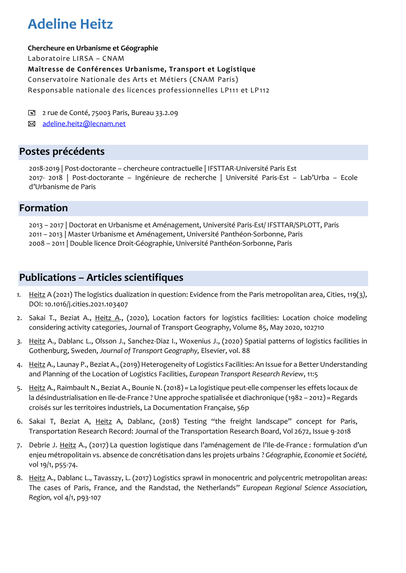# **Adeline Heitz**

**Chercheure en Urbanisme et Géographie**

Laboratoire LIRSA – CNAM

**Maîtresse de Conférences Urbanisme, Transport et Logistique**

Conservatoire Nationale des Arts et Métiers (CNAM Paris)

Responsable nationale des licences professionnelles LP111 et LP112

2 rue de Conté, 75003 Paris, Bureau 33.2.09

 $\boxtimes$  adeline.heitz@lecnam.net

# **Postes précédents**

2018-2019 | Post-doctorante – chercheure contractuelle | IFSTTAR-Université Paris Est 2017- 2018 | Post-doctorante – Ingénieure de recherche | Université Paris-Est – Lab'Urba – Ecole d'Urbanisme de Paris

# **Formation**

2013 – 2017 | Doctorat en Urbanisme et Aménagement, Université Paris-Est/ IFSTTAR/SPLOTT, Paris 2011 – 2013 | Master Urbanisme et Aménagement, Université Panthéon-Sorbonne, Paris 2008 – 2011 | Double licence Droit-Géographie, Université Panthéon-Sorbonne, Paris

# **Publications – Articles scientifiques**

- *1.* Heitz A (2021) The logistics dualization in question: Evidence from the Paris metropolitan area, Cities, 119(3*),*  DOI: 10.1016/j.cities.2021.103407
- 2. Sakai T., Beziat A., Heitz A., (2020), Location factors for logistics facilities: Location choice modeling considering activity categories, Journal of Transport Geography, Volume 85, May 2020, 102710
- *3.* Heitz A., Dablanc L., Olsson J., Sanchez-Diaz I., Woxenius J., (2020) Spatial patterns of logistics facilities in Gothenburg, Sweden, *Journal of Transport Geography,* Elsevier, vol. 88
- 4. Heitz A., Launay P., Beziat A., (2019) Heterogeneity of Logistics Facilities: An Issue for a Better Understanding and Planning of the Location of Logistics Facilities, *European Transport Research Review*, 11:5
- 5. Heitz A., Raimbault N., Beziat A., Bounie N. (2018) « La logistique peut-elle compenser les effets locaux de la désindustrialisation en Ile-de-France ? Une approche spatialisée et diachronique (1982 – 2012) » Regards croisés sur les territoires industriels, La Documentation Française, 56p
- 6. Sakai T, Beziat A, Heitz A, Dablanc, (2018) Testing "the freight landscape" concept for Paris, Transportation Research Record: Journal of the Transportation Research Board, Vol 2672, Issue 9-2018
- 7. Debrie J. Heitz A., (2017) La question logistique dans l'aménagement de l'Ile-de-France : formulation d'un enjeu métropolitain vs. absence de concrétisation dans les projets urbains ? *Géographie, Economie et Société,*  vol 19/1, p55-74.
- 8. Heitz A., Dablanc L., Tavasszy, L. (2017) Logistics sprawl in monocentric and polycentric metropolitan areas: The cases of Paris, France, and the Randstad, the Netherlands" *European Regional Science Association, Region,* vol 4/1, p93-107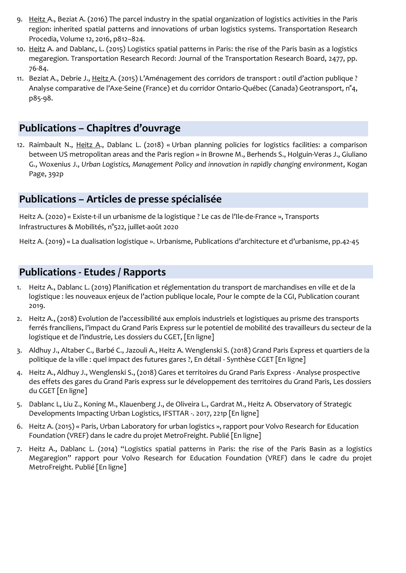- 9. Heitz A., Beziat A. (2016) The parcel industry in the spatial organization of logistics activities in the Paris region: inherited spatial patterns and innovations of urban logistics systems. Transportation Research Procedia, Volume 12, 2016, p812–824.
- 10. Heitz A. and Dablanc, L. (2015) Logistics spatial patterns in Paris: the rise of the Paris basin as a logistics megaregion. Transportation Research Record: Journal of the Transportation Research Board, 2477, pp. 76-84.
- 11. Beziat A., Debrie J., Heitz A. (2015) L'Aménagement des corridors de transport : outil d'action publique ? Analyse comparative de l'Axe-Seine (France) et du corridor Ontario-Québec (Canada) Geotransport, n°4, p85-98.

## **Publications – Chapitres d'ouvrage**

12. Raimbault N., Heitz A., Dablanc L. (2018) « Urban planning policies for logistics facilities: a comparison between US metropolitan areas and the Paris region » in Browne M., Berhends S., Holguin-Veras J., Giuliano G., Woxenius J., *Urban Logistics, Management Policy and innovation in rapidly changing environment*, Kogan Page, 392p

### **Publications – Articles de presse spécialisée**

Heitz A. (2020) « Existe-t-il un urbanisme de la logistique ? Le cas de l'Ile-de-France », Transports Infrastructures & Mobilités, n°522, juillet-août 2020

Heitz A. (2019) « La dualisation logistique ». Urbanisme, Publications d'architecture et d'urbanisme, pp.42-45

#### **Publications - Etudes / Rapports**

- 1. Heitz A., Dablanc L. (2019) Planification et réglementation du transport de marchandises en ville et de la logistique : les nouveaux enjeux de l'action publique locale, Pour le compte de la CGI, Publication courant 2019.
- 2. Heitz A., (2018) Evolution de l'accessibilité aux emplois industriels et logistiques au prisme des transports ferrés franciliens, l'impact du Grand Paris Express sur le potentiel de mobilité des travailleurs du secteur de la logistique et de l'industrie, Les dossiers du CGET, [En ligne]
- 3. Aldhuy J., Altaber C., Barbé C., Jazouli A., Heitz A. Wenglenski S. (2018) Grand Paris Express et quartiers de la politique de la ville : quel impact des futures gares ?, En détail - Synthèse CGET [En ligne]
- 4. Heitz A., Aldhuy J., Wenglenski S., (2018) Gares et territoires du Grand Paris Express Analyse prospective des effets des gares du Grand Paris express sur le développement des territoires du Grand Paris, Les dossiers du CGET [En ligne]
- 5. Dablanc L, Liu Z., Koning M., Klauenberg J., de Oliveira L., Gardrat M., Heitz A. Observatory of Strategic Developments Impacting Urban Logistics, IFSTTAR -. 2017, 221p [En ligne]
- 6. Heitz A. (2015) « Paris, Urban Laboratory for urban logistics », rapport pour Volvo Research for Education Foundation (VREF) dans le cadre du projet MetroFreight. Publié [En ligne]
- 7. Heitz A., Dablanc L. (2014) "Logistics spatial patterns in Paris: the rise of the Paris Basin as a logistics Megaregion" rapport pour Volvo Research for Education Foundation (VREF) dans le cadre du projet MetroFreight. Publié [En ligne]